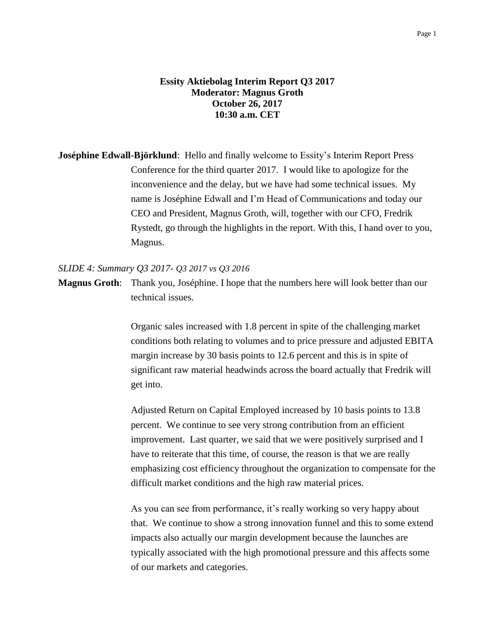# **Essity Aktiebolag Interim Report Q3 2017 Moderator: Magnus Groth October 26, 2017 10:30 a.m. CET**

**Joséphine Edwall-Björklund**: Hello and finally welcome to Essity's Interim Report Press Conference for the third quarter 2017. I would like to apologize for the inconvenience and the delay, but we have had some technical issues. My name is Joséphine Edwall and I'm Head of Communications and today our CEO and President, Magnus Groth, will, together with our CFO, Fredrik Rystedt, go through the highlights in the report. With this, I hand over to you, Magnus.

### *SLIDE 4: Summary Q3 2017- Q3 2017 vs Q3 2016*

**Magnus Groth**: Thank you, Joséphine. I hope that the numbers here will look better than our technical issues.

> Organic sales increased with 1.8 percent in spite of the challenging market conditions both relating to volumes and to price pressure and adjusted EBITA margin increase by 30 basis points to 12.6 percent and this is in spite of significant raw material headwinds across the board actually that Fredrik will get into.

> Adjusted Return on Capital Employed increased by 10 basis points to 13.8 percent. We continue to see very strong contribution from an efficient improvement. Last quarter, we said that we were positively surprised and I have to reiterate that this time, of course, the reason is that we are really emphasizing cost efficiency throughout the organization to compensate for the difficult market conditions and the high raw material prices.

> As you can see from performance, it's really working so very happy about that. We continue to show a strong innovation funnel and this to some extend impacts also actually our margin development because the launches are typically associated with the high promotional pressure and this affects some of our markets and categories.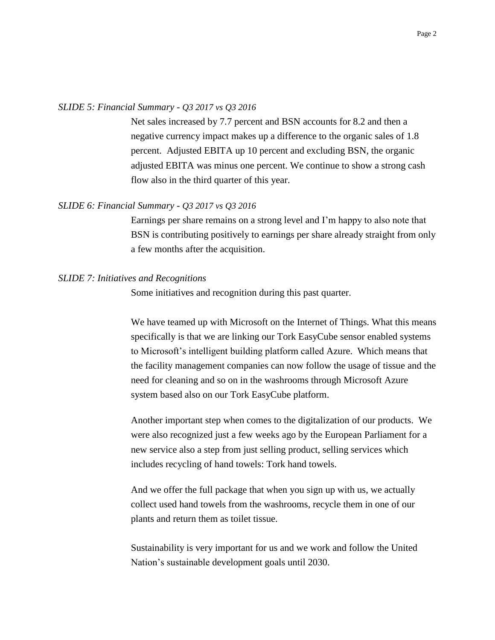## *SLIDE 5: Financial Summary - Q3 2017 vs Q3 2016*

Net sales increased by 7.7 percent and BSN accounts for 8.2 and then a negative currency impact makes up a difference to the organic sales of 1.8 percent. Adjusted EBITA up 10 percent and excluding BSN, the organic adjusted EBITA was minus one percent. We continue to show a strong cash flow also in the third quarter of this year.

### *SLIDE 6: Financial Summary - Q3 2017 vs Q3 2016*

Earnings per share remains on a strong level and I'm happy to also note that BSN is contributing positively to earnings per share already straight from only a few months after the acquisition.

#### *SLIDE 7: Initiatives and Recognitions*

Some initiatives and recognition during this past quarter.

We have teamed up with Microsoft on the Internet of Things. What this means specifically is that we are linking our Tork EasyCube sensor enabled systems to Microsoft's intelligent building platform called Azure. Which means that the facility management companies can now follow the usage of tissue and the need for cleaning and so on in the washrooms through Microsoft Azure system based also on our Tork EasyCube platform.

Another important step when comes to the digitalization of our products. We were also recognized just a few weeks ago by the European Parliament for a new service also a step from just selling product, selling services which includes recycling of hand towels: Tork hand towels.

And we offer the full package that when you sign up with us, we actually collect used hand towels from the washrooms, recycle them in one of our plants and return them as toilet tissue.

Sustainability is very important for us and we work and follow the United Nation's sustainable development goals until 2030.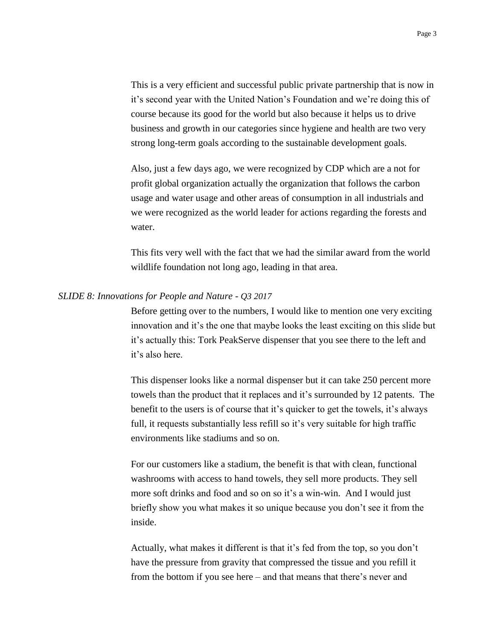This is a very efficient and successful public private partnership that is now in it's second year with the United Nation's Foundation and we're doing this of course because its good for the world but also because it helps us to drive business and growth in our categories since hygiene and health are two very strong long-term goals according to the sustainable development goals.

Also, just a few days ago, we were recognized by CDP which are a not for profit global organization actually the organization that follows the carbon usage and water usage and other areas of consumption in all industrials and we were recognized as the world leader for actions regarding the forests and water.

This fits very well with the fact that we had the similar award from the world wildlife foundation not long ago, leading in that area.

#### *SLIDE 8: Innovations for People and Nature - Q3 2017*

Before getting over to the numbers, I would like to mention one very exciting innovation and it's the one that maybe looks the least exciting on this slide but it's actually this: Tork PeakServe dispenser that you see there to the left and it's also here.

This dispenser looks like a normal dispenser but it can take 250 percent more towels than the product that it replaces and it's surrounded by 12 patents. The benefit to the users is of course that it's quicker to get the towels, it's always full, it requests substantially less refill so it's very suitable for high traffic environments like stadiums and so on.

For our customers like a stadium, the benefit is that with clean, functional washrooms with access to hand towels, they sell more products. They sell more soft drinks and food and so on so it's a win-win. And I would just briefly show you what makes it so unique because you don't see it from the inside.

Actually, what makes it different is that it's fed from the top, so you don't have the pressure from gravity that compressed the tissue and you refill it from the bottom if you see here – and that means that there's never and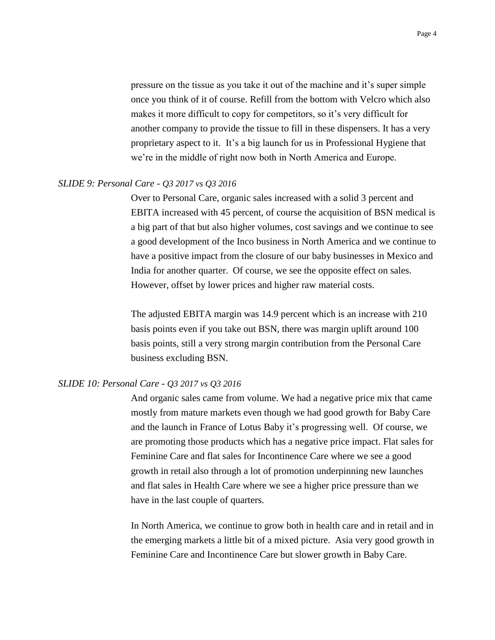pressure on the tissue as you take it out of the machine and it's super simple once you think of it of course. Refill from the bottom with Velcro which also makes it more difficult to copy for competitors, so it's very difficult for another company to provide the tissue to fill in these dispensers. It has a very proprietary aspect to it. It's a big launch for us in Professional Hygiene that we're in the middle of right now both in North America and Europe.

#### *SLIDE 9: Personal Care - Q3 2017 vs Q3 2016*

Over to Personal Care, organic sales increased with a solid 3 percent and EBITA increased with 45 percent, of course the acquisition of BSN medical is a big part of that but also higher volumes, cost savings and we continue to see a good development of the Inco business in North America and we continue to have a positive impact from the closure of our baby businesses in Mexico and India for another quarter. Of course, we see the opposite effect on sales. However, offset by lower prices and higher raw material costs.

The adjusted EBITA margin was 14.9 percent which is an increase with 210 basis points even if you take out BSN, there was margin uplift around 100 basis points, still a very strong margin contribution from the Personal Care business excluding BSN.

#### *SLIDE 10: Personal Care - Q3 2017 vs Q3 2016*

And organic sales came from volume. We had a negative price mix that came mostly from mature markets even though we had good growth for Baby Care and the launch in France of Lotus Baby it's progressing well. Of course, we are promoting those products which has a negative price impact. Flat sales for Feminine Care and flat sales for Incontinence Care where we see a good growth in retail also through a lot of promotion underpinning new launches and flat sales in Health Care where we see a higher price pressure than we have in the last couple of quarters.

In North America, we continue to grow both in health care and in retail and in the emerging markets a little bit of a mixed picture. Asia very good growth in Feminine Care and Incontinence Care but slower growth in Baby Care.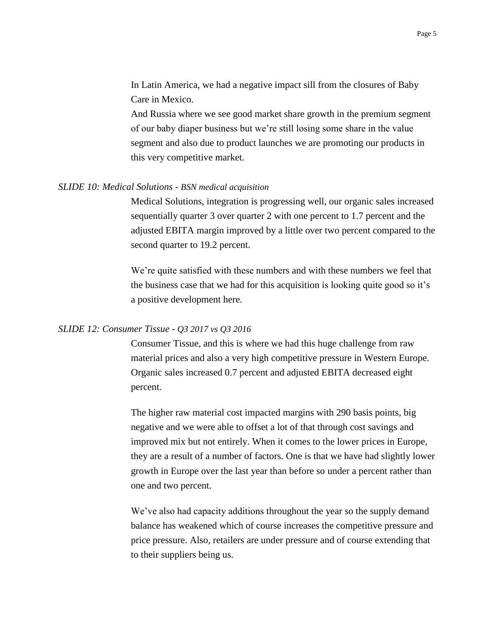In Latin America, we had a negative impact sill from the closures of Baby Care in Mexico.

And Russia where we see good market share growth in the premium segment of our baby diaper business but we're still losing some share in the value segment and also due to product launches we are promoting our products in this very competitive market.

#### *SLIDE 10: Medical Solutions - BSN medical acquisition*

Medical Solutions, integration is progressing well, our organic sales increased sequentially quarter 3 over quarter 2 with one percent to 1.7 percent and the adjusted EBITA margin improved by a little over two percent compared to the second quarter to 19.2 percent.

We're quite satisfied with these numbers and with these numbers we feel that the business case that we had for this acquisition is looking quite good so it's a positive development here.

# *SLIDE 12: Consumer Tissue - Q3 2017 vs Q3 2016*

Consumer Tissue, and this is where we had this huge challenge from raw material prices and also a very high competitive pressure in Western Europe. Organic sales increased 0.7 percent and adjusted EBITA decreased eight percent.

The higher raw material cost impacted margins with 290 basis points, big negative and we were able to offset a lot of that through cost savings and improved mix but not entirely. When it comes to the lower prices in Europe, they are a result of a number of factors. One is that we have had slightly lower growth in Europe over the last year than before so under a percent rather than one and two percent.

We've also had capacity additions throughout the year so the supply demand balance has weakened which of course increases the competitive pressure and price pressure. Also, retailers are under pressure and of course extending that to their suppliers being us.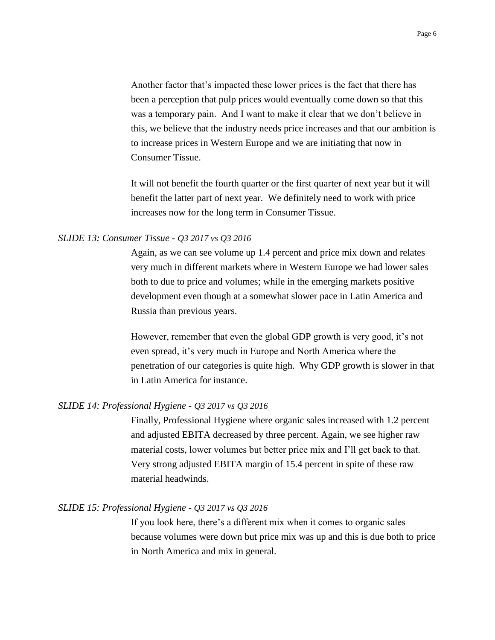Another factor that's impacted these lower prices is the fact that there has been a perception that pulp prices would eventually come down so that this was a temporary pain. And I want to make it clear that we don't believe in this, we believe that the industry needs price increases and that our ambition is to increase prices in Western Europe and we are initiating that now in Consumer Tissue.

It will not benefit the fourth quarter or the first quarter of next year but it will benefit the latter part of next year. We definitely need to work with price increases now for the long term in Consumer Tissue.

### *SLIDE 13: Consumer Tissue - Q3 2017 vs Q3 2016*

Again, as we can see volume up 1.4 percent and price mix down and relates very much in different markets where in Western Europe we had lower sales both to due to price and volumes; while in the emerging markets positive development even though at a somewhat slower pace in Latin America and Russia than previous years.

However, remember that even the global GDP growth is very good, it's not even spread, it's very much in Europe and North America where the penetration of our categories is quite high. Why GDP growth is slower in that in Latin America for instance.

## *SLIDE 14: Professional Hygiene - Q3 2017 vs Q3 2016*

Finally, Professional Hygiene where organic sales increased with 1.2 percent and adjusted EBITA decreased by three percent. Again, we see higher raw material costs, lower volumes but better price mix and I'll get back to that. Very strong adjusted EBITA margin of 15.4 percent in spite of these raw material headwinds.

### *SLIDE 15: Professional Hygiene - Q3 2017 vs Q3 2016*

If you look here, there's a different mix when it comes to organic sales because volumes were down but price mix was up and this is due both to price in North America and mix in general.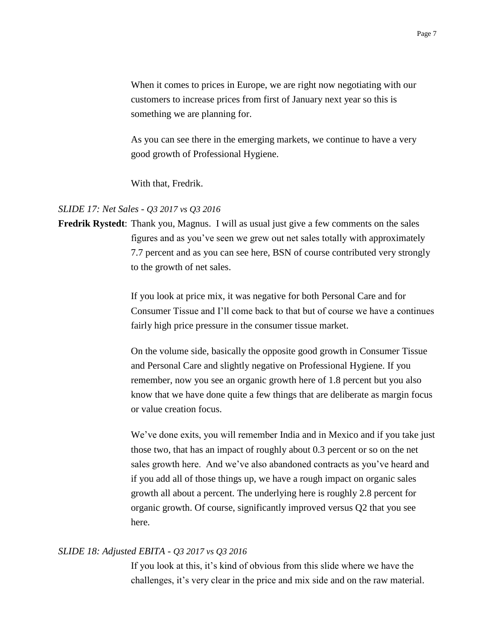When it comes to prices in Europe, we are right now negotiating with our customers to increase prices from first of January next year so this is something we are planning for.

As you can see there in the emerging markets, we continue to have a very good growth of Professional Hygiene.

With that, Fredrik.

# *SLIDE 17: Net Sales - Q3 2017 vs Q3 2016*

**Fredrik Rystedt**: Thank you, Magnus. I will as usual just give a few comments on the sales figures and as you've seen we grew out net sales totally with approximately 7.7 percent and as you can see here, BSN of course contributed very strongly to the growth of net sales.

> If you look at price mix, it was negative for both Personal Care and for Consumer Tissue and I'll come back to that but of course we have a continues fairly high price pressure in the consumer tissue market.

> On the volume side, basically the opposite good growth in Consumer Tissue and Personal Care and slightly negative on Professional Hygiene. If you remember, now you see an organic growth here of 1.8 percent but you also know that we have done quite a few things that are deliberate as margin focus or value creation focus.

> We've done exits, you will remember India and in Mexico and if you take just those two, that has an impact of roughly about 0.3 percent or so on the net sales growth here. And we've also abandoned contracts as you've heard and if you add all of those things up, we have a rough impact on organic sales growth all about a percent. The underlying here is roughly 2.8 percent for organic growth. Of course, significantly improved versus Q2 that you see here.

## *SLIDE 18: Adjusted EBITA - Q3 2017 vs Q3 2016*

If you look at this, it's kind of obvious from this slide where we have the challenges, it's very clear in the price and mix side and on the raw material.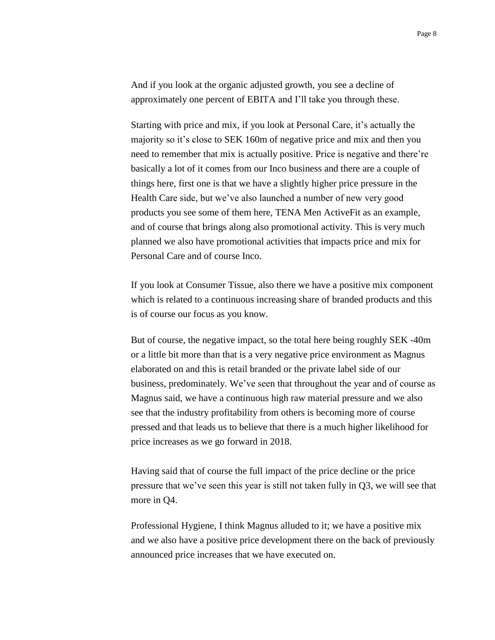And if you look at the organic adjusted growth, you see a decline of approximately one percent of EBITA and I'll take you through these.

Starting with price and mix, if you look at Personal Care, it's actually the majority so it's close to SEK 160m of negative price and mix and then you need to remember that mix is actually positive. Price is negative and there're basically a lot of it comes from our Inco business and there are a couple of things here, first one is that we have a slightly higher price pressure in the Health Care side, but we've also launched a number of new very good products you see some of them here, TENA Men ActiveFit as an example, and of course that brings along also promotional activity. This is very much planned we also have promotional activities that impacts price and mix for Personal Care and of course Inco.

If you look at Consumer Tissue, also there we have a positive mix component which is related to a continuous increasing share of branded products and this is of course our focus as you know.

But of course, the negative impact, so the total here being roughly SEK -40m or a little bit more than that is a very negative price environment as Magnus elaborated on and this is retail branded or the private label side of our business, predominately. We've seen that throughout the year and of course as Magnus said, we have a continuous high raw material pressure and we also see that the industry profitability from others is becoming more of course pressed and that leads us to believe that there is a much higher likelihood for price increases as we go forward in 2018.

Having said that of course the full impact of the price decline or the price pressure that we've seen this year is still not taken fully in Q3, we will see that more in Q4.

Professional Hygiene, I think Magnus alluded to it; we have a positive mix and we also have a positive price development there on the back of previously announced price increases that we have executed on.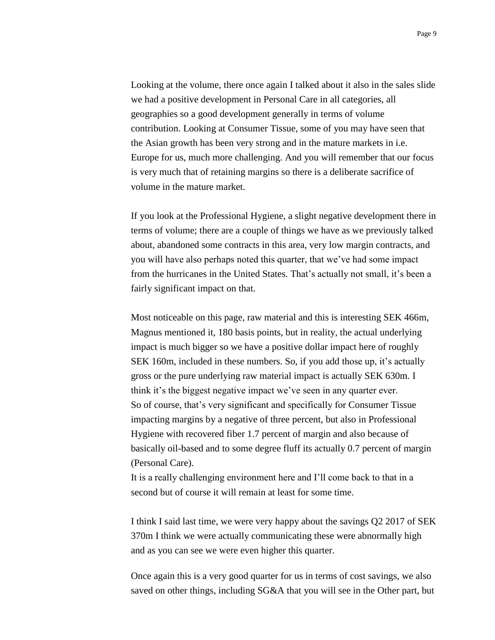Looking at the volume, there once again I talked about it also in the sales slide we had a positive development in Personal Care in all categories, all geographies so a good development generally in terms of volume contribution. Looking at Consumer Tissue, some of you may have seen that the Asian growth has been very strong and in the mature markets in i.e. Europe for us, much more challenging. And you will remember that our focus is very much that of retaining margins so there is a deliberate sacrifice of volume in the mature market.

If you look at the Professional Hygiene, a slight negative development there in terms of volume; there are a couple of things we have as we previously talked about, abandoned some contracts in this area, very low margin contracts, and you will have also perhaps noted this quarter, that we've had some impact from the hurricanes in the United States. That's actually not small, it's been a fairly significant impact on that.

Most noticeable on this page, raw material and this is interesting SEK 466m, Magnus mentioned it, 180 basis points, but in reality, the actual underlying impact is much bigger so we have a positive dollar impact here of roughly SEK 160m, included in these numbers. So, if you add those up, it's actually gross or the pure underlying raw material impact is actually SEK 630m. I think it's the biggest negative impact we've seen in any quarter ever. So of course, that's very significant and specifically for Consumer Tissue impacting margins by a negative of three percent, but also in Professional Hygiene with recovered fiber 1.7 percent of margin and also because of basically oil-based and to some degree fluff its actually 0.7 percent of margin (Personal Care).

It is a really challenging environment here and I'll come back to that in a second but of course it will remain at least for some time.

I think I said last time, we were very happy about the savings Q2 2017 of SEK 370m I think we were actually communicating these were abnormally high and as you can see we were even higher this quarter.

Once again this is a very good quarter for us in terms of cost savings, we also saved on other things, including SG&A that you will see in the Other part, but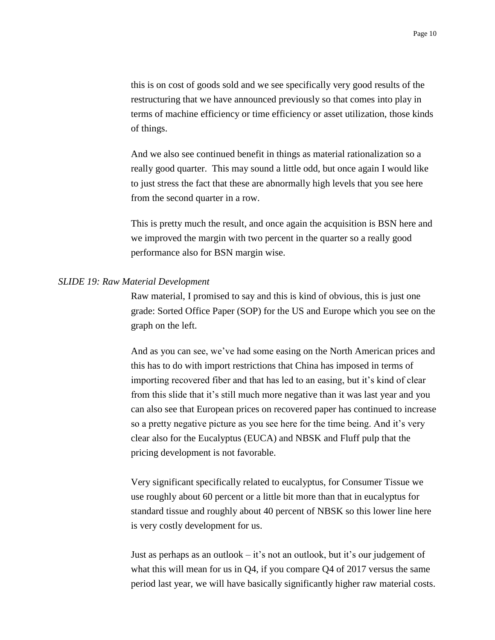this is on cost of goods sold and we see specifically very good results of the restructuring that we have announced previously so that comes into play in terms of machine efficiency or time efficiency or asset utilization, those kinds of things.

And we also see continued benefit in things as material rationalization so a really good quarter. This may sound a little odd, but once again I would like to just stress the fact that these are abnormally high levels that you see here from the second quarter in a row.

This is pretty much the result, and once again the acquisition is BSN here and we improved the margin with two percent in the quarter so a really good performance also for BSN margin wise.

#### *SLIDE 19: Raw Material Development*

Raw material, I promised to say and this is kind of obvious, this is just one grade: Sorted Office Paper (SOP) for the US and Europe which you see on the graph on the left.

And as you can see, we've had some easing on the North American prices and this has to do with import restrictions that China has imposed in terms of importing recovered fiber and that has led to an easing, but it's kind of clear from this slide that it's still much more negative than it was last year and you can also see that European prices on recovered paper has continued to increase so a pretty negative picture as you see here for the time being. And it's very clear also for the Eucalyptus (EUCA) and NBSK and Fluff pulp that the pricing development is not favorable.

Very significant specifically related to eucalyptus, for Consumer Tissue we use roughly about 60 percent or a little bit more than that in eucalyptus for standard tissue and roughly about 40 percent of NBSK so this lower line here is very costly development for us.

Just as perhaps as an outlook – it's not an outlook, but it's our judgement of what this will mean for us in  $Q_4$ , if you compare  $Q_4$  of 2017 versus the same period last year, we will have basically significantly higher raw material costs.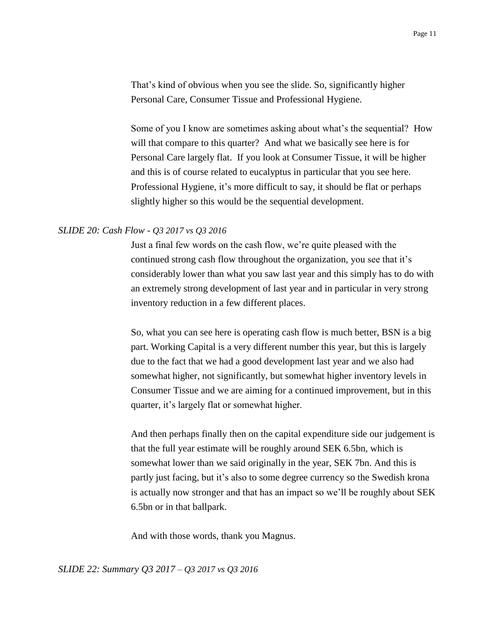That's kind of obvious when you see the slide. So, significantly higher Personal Care, Consumer Tissue and Professional Hygiene.

Some of you I know are sometimes asking about what's the sequential? How will that compare to this quarter? And what we basically see here is for Personal Care largely flat. If you look at Consumer Tissue, it will be higher and this is of course related to eucalyptus in particular that you see here. Professional Hygiene, it's more difficult to say, it should be flat or perhaps slightly higher so this would be the sequential development.

### *SLIDE 20: Cash Flow - Q3 2017 vs Q3 2016*

Just a final few words on the cash flow, we're quite pleased with the continued strong cash flow throughout the organization, you see that it's considerably lower than what you saw last year and this simply has to do with an extremely strong development of last year and in particular in very strong inventory reduction in a few different places.

So, what you can see here is operating cash flow is much better, BSN is a big part. Working Capital is a very different number this year, but this is largely due to the fact that we had a good development last year and we also had somewhat higher, not significantly, but somewhat higher inventory levels in Consumer Tissue and we are aiming for a continued improvement, but in this quarter, it's largely flat or somewhat higher.

And then perhaps finally then on the capital expenditure side our judgement is that the full year estimate will be roughly around SEK 6.5bn, which is somewhat lower than we said originally in the year, SEK 7bn. And this is partly just facing, but it's also to some degree currency so the Swedish krona is actually now stronger and that has an impact so we'll be roughly about SEK 6.5bn or in that ballpark.

And with those words, thank you Magnus.

*SLIDE 22: Summary Q3 2017 – Q3 2017 vs Q3 2016*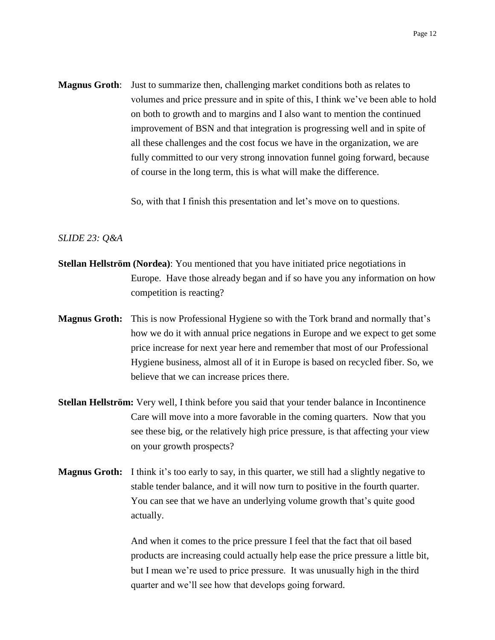**Magnus Groth**: Just to summarize then, challenging market conditions both as relates to volumes and price pressure and in spite of this, I think we've been able to hold on both to growth and to margins and I also want to mention the continued improvement of BSN and that integration is progressing well and in spite of all these challenges and the cost focus we have in the organization, we are fully committed to our very strong innovation funnel going forward, because of course in the long term, this is what will make the difference.

So, with that I finish this presentation and let's move on to questions.

#### *SLIDE 23: Q&A*

- **Stellan Hellström (Nordea)**: You mentioned that you have initiated price negotiations in Europe. Have those already began and if so have you any information on how competition is reacting?
- **Magnus Groth:** This is now Professional Hygiene so with the Tork brand and normally that's how we do it with annual price negations in Europe and we expect to get some price increase for next year here and remember that most of our Professional Hygiene business, almost all of it in Europe is based on recycled fiber. So, we believe that we can increase prices there.
- **Stellan Hellström:** Very well, I think before you said that your tender balance in Incontinence Care will move into a more favorable in the coming quarters. Now that you see these big, or the relatively high price pressure, is that affecting your view on your growth prospects?
- **Magnus Groth:** I think it's too early to say, in this quarter, we still had a slightly negative to stable tender balance, and it will now turn to positive in the fourth quarter. You can see that we have an underlying volume growth that's quite good actually.

And when it comes to the price pressure I feel that the fact that oil based products are increasing could actually help ease the price pressure a little bit, but I mean we're used to price pressure. It was unusually high in the third quarter and we'll see how that develops going forward.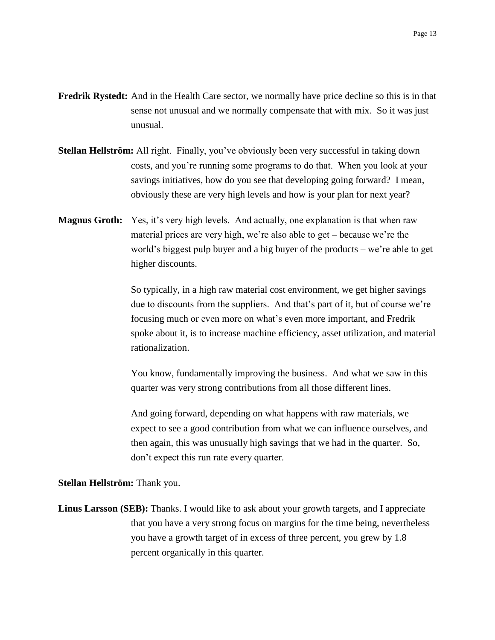- **Fredrik Rystedt:** And in the Health Care sector, we normally have price decline so this is in that sense not unusual and we normally compensate that with mix. So it was just unusual.
- **Stellan Hellström:** All right. Finally, you've obviously been very successful in taking down costs, and you're running some programs to do that. When you look at your savings initiatives, how do you see that developing going forward? I mean, obviously these are very high levels and how is your plan for next year?
- **Magnus Groth:** Yes, it's very high levels. And actually, one explanation is that when raw material prices are very high, we're also able to get – because we're the world's biggest pulp buyer and a big buyer of the products – we're able to get higher discounts.

So typically, in a high raw material cost environment, we get higher savings due to discounts from the suppliers. And that's part of it, but of course we're focusing much or even more on what's even more important, and Fredrik spoke about it, is to increase machine efficiency, asset utilization, and material rationalization.

You know, fundamentally improving the business. And what we saw in this quarter was very strong contributions from all those different lines.

And going forward, depending on what happens with raw materials, we expect to see a good contribution from what we can influence ourselves, and then again, this was unusually high savings that we had in the quarter. So, don't expect this run rate every quarter.

#### **Stellan Hellström:** Thank you.

**Linus Larsson (SEB):** Thanks. I would like to ask about your growth targets, and I appreciate that you have a very strong focus on margins for the time being, nevertheless you have a growth target of in excess of three percent, you grew by 1.8 percent organically in this quarter.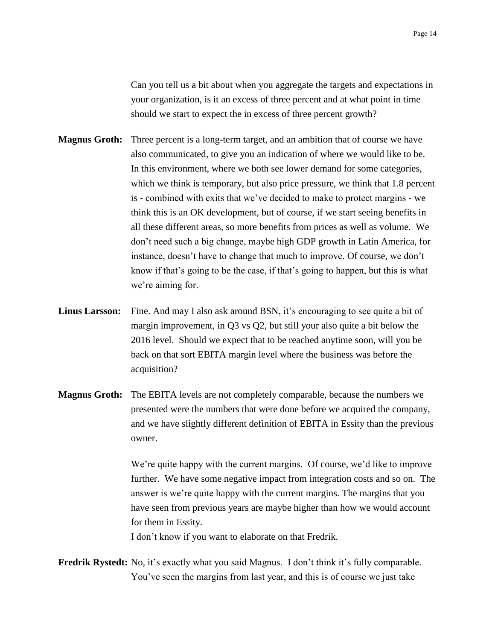Can you tell us a bit about when you aggregate the targets and expectations in your organization, is it an excess of three percent and at what point in time should we start to expect the in excess of three percent growth?

- **Magnus Groth:** Three percent is a long-term target, and an ambition that of course we have also communicated, to give you an indication of where we would like to be. In this environment, where we both see lower demand for some categories, which we think is temporary, but also price pressure, we think that 1.8 percent is - combined with exits that we've decided to make to protect margins - we think this is an OK development, but of course, if we start seeing benefits in all these different areas, so more benefits from prices as well as volume. We don't need such a big change, maybe high GDP growth in Latin America, for instance, doesn't have to change that much to improve. Of course, we don't know if that's going to be the case, if that's going to happen, but this is what we're aiming for.
- Linus Larsson: Fine. And may I also ask around BSN, it's encouraging to see quite a bit of margin improvement, in Q3 vs Q2, but still your also quite a bit below the 2016 level. Should we expect that to be reached anytime soon, will you be back on that sort EBITA margin level where the business was before the acquisition?
- **Magnus Groth:** The EBITA levels are not completely comparable, because the numbers we presented were the numbers that were done before we acquired the company, and we have slightly different definition of EBITA in Essity than the previous owner.

We're quite happy with the current margins. Of course, we'd like to improve further. We have some negative impact from integration costs and so on. The answer is we're quite happy with the current margins. The margins that you have seen from previous years are maybe higher than how we would account for them in Essity.

I don't know if you want to elaborate on that Fredrik.

**Fredrik Rystedt:** No, it's exactly what you said Magnus. I don't think it's fully comparable. You've seen the margins from last year, and this is of course we just take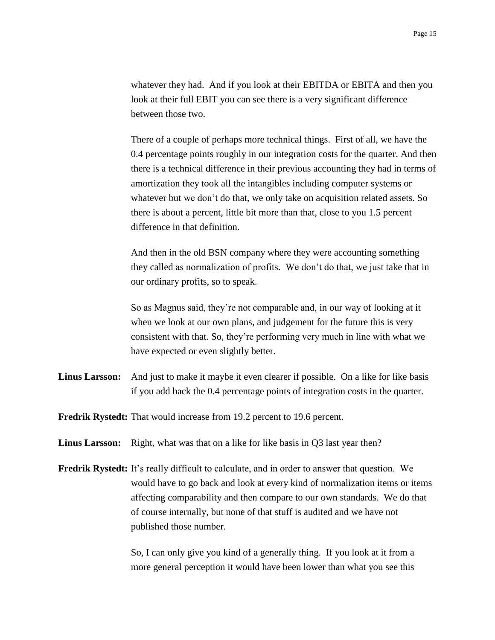whatever they had. And if you look at their EBITDA or EBITA and then you look at their full EBIT you can see there is a very significant difference between those two.

There of a couple of perhaps more technical things. First of all, we have the 0.4 percentage points roughly in our integration costs for the quarter. And then there is a technical difference in their previous accounting they had in terms of amortization they took all the intangibles including computer systems or whatever but we don't do that, we only take on acquisition related assets. So there is about a percent, little bit more than that, close to you 1.5 percent difference in that definition.

And then in the old BSN company where they were accounting something they called as normalization of profits. We don't do that, we just take that in our ordinary profits, so to speak.

So as Magnus said, they're not comparable and, in our way of looking at it when we look at our own plans, and judgement for the future this is very consistent with that. So, they're performing very much in line with what we have expected or even slightly better.

- **Linus Larsson:** And just to make it maybe it even clearer if possible. On a like for like basis if you add back the 0.4 percentage points of integration costs in the quarter.
- **Fredrik Rystedt:** That would increase from 19.2 percent to 19.6 percent.
- Linus Larsson: Right, what was that on a like for like basis in Q3 last year then?
- **Fredrik Rystedt:** It's really difficult to calculate, and in order to answer that question. We would have to go back and look at every kind of normalization items or items affecting comparability and then compare to our own standards. We do that of course internally, but none of that stuff is audited and we have not published those number.

So, I can only give you kind of a generally thing. If you look at it from a more general perception it would have been lower than what you see this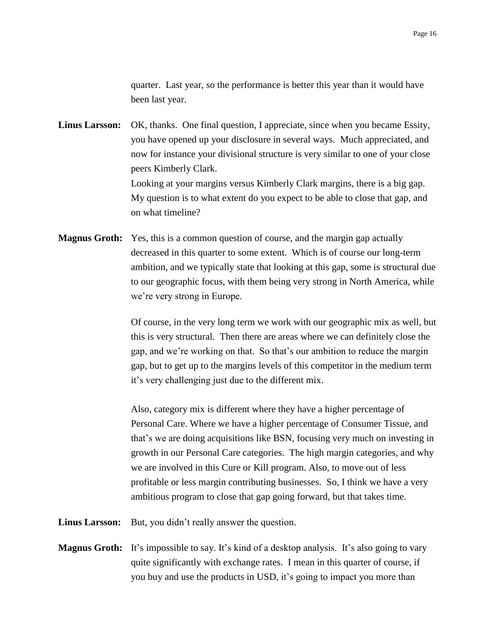quarter. Last year, so the performance is better this year than it would have been last year.

**Linus Larsson:** OK, thanks. One final question, I appreciate, since when you became Essity, you have opened up your disclosure in several ways. Much appreciated, and now for instance your divisional structure is very similar to one of your close peers Kimberly Clark. Looking at your margins versus Kimberly Clark margins, there is a big gap. My question is to what extent do you expect to be able to close that gap, and on what timeline?

**Magnus Groth:** Yes, this is a common question of course, and the margin gap actually decreased in this quarter to some extent. Which is of course our long-term ambition, and we typically state that looking at this gap, some is structural due to our geographic focus, with them being very strong in North America, while we're very strong in Europe.

> Of course, in the very long term we work with our geographic mix as well, but this is very structural. Then there are areas where we can definitely close the gap, and we're working on that. So that's our ambition to reduce the margin gap, but to get up to the margins levels of this competitor in the medium term it's very challenging just due to the different mix.

> Also, category mix is different where they have a higher percentage of Personal Care. Where we have a higher percentage of Consumer Tissue, and that's we are doing acquisitions like BSN, focusing very much on investing in growth in our Personal Care categories. The high margin categories, and why we are involved in this Cure or Kill program. Also, to move out of less profitable or less margin contributing businesses. So, I think we have a very ambitious program to close that gap going forward, but that takes time.

- **Linus Larsson:** But, you didn't really answer the question.
- **Magnus Groth:** It's impossible to say. It's kind of a desktop analysis. It's also going to vary quite significantly with exchange rates. I mean in this quarter of course, if you buy and use the products in USD, it's going to impact you more than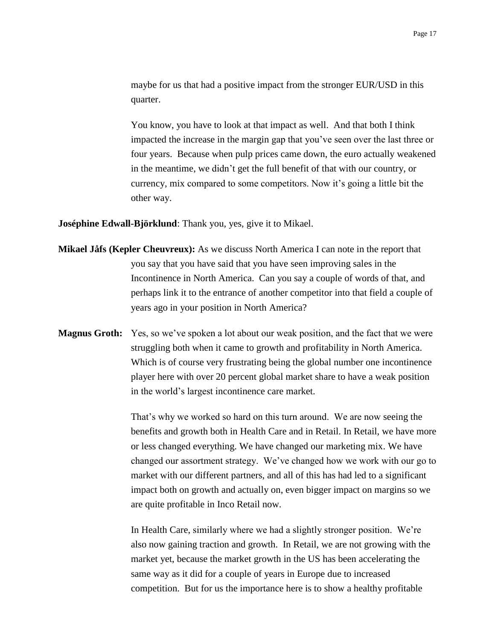maybe for us that had a positive impact from the stronger EUR/USD in this quarter.

You know, you have to look at that impact as well. And that both I think impacted the increase in the margin gap that you've seen over the last three or four years. Because when pulp prices came down, the euro actually weakened in the meantime, we didn't get the full benefit of that with our country, or currency, mix compared to some competitors. Now it's going a little bit the other way.

**Joséphine Edwall-Björklund**: Thank you, yes, give it to Mikael.

- **Mikael Jåfs (Kepler Cheuvreux):** As we discuss North America I can note in the report that you say that you have said that you have seen improving sales in the Incontinence in North America. Can you say a couple of words of that, and perhaps link it to the entrance of another competitor into that field a couple of years ago in your position in North America?
- **Magnus Groth:** Yes, so we've spoken a lot about our weak position, and the fact that we were struggling both when it came to growth and profitability in North America. Which is of course very frustrating being the global number one incontinence player here with over 20 percent global market share to have a weak position in the world's largest incontinence care market.

That's why we worked so hard on this turn around. We are now seeing the benefits and growth both in Health Care and in Retail. In Retail, we have more or less changed everything. We have changed our marketing mix. We have changed our assortment strategy. We've changed how we work with our go to market with our different partners, and all of this has had led to a significant impact both on growth and actually on, even bigger impact on margins so we are quite profitable in Inco Retail now.

In Health Care, similarly where we had a slightly stronger position. We're also now gaining traction and growth. In Retail, we are not growing with the market yet, because the market growth in the US has been accelerating the same way as it did for a couple of years in Europe due to increased competition. But for us the importance here is to show a healthy profitable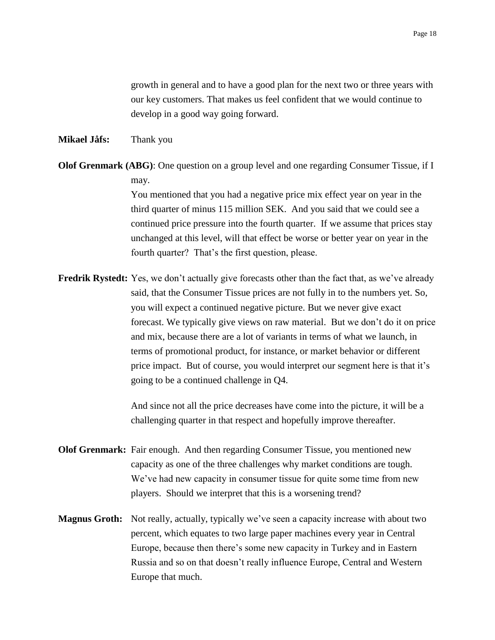growth in general and to have a good plan for the next two or three years with our key customers. That makes us feel confident that we would continue to develop in a good way going forward.

## **Mikael Jåfs:** Thank you

**Olof Grenmark (ABG)**: One question on a group level and one regarding Consumer Tissue, if I may. You mentioned that you had a negative price mix effect year on year in the third quarter of minus 115 million SEK. And you said that we could see a continued price pressure into the fourth quarter. If we assume that prices stay unchanged at this level, will that effect be worse or better year on year in the fourth quarter? That's the first question, please.

**Fredrik Rystedt:** Yes, we don't actually give forecasts other than the fact that, as we've already said, that the Consumer Tissue prices are not fully in to the numbers yet. So, you will expect a continued negative picture. But we never give exact forecast. We typically give views on raw material. But we don't do it on price and mix, because there are a lot of variants in terms of what we launch, in terms of promotional product, for instance, or market behavior or different price impact. But of course, you would interpret our segment here is that it's going to be a continued challenge in Q4.

> And since not all the price decreases have come into the picture, it will be a challenging quarter in that respect and hopefully improve thereafter.

- **Olof Grenmark:** Fair enough. And then regarding Consumer Tissue, you mentioned new capacity as one of the three challenges why market conditions are tough. We've had new capacity in consumer tissue for quite some time from new players. Should we interpret that this is a worsening trend?
- **Magnus Groth:** Not really, actually, typically we've seen a capacity increase with about two percent, which equates to two large paper machines every year in Central Europe, because then there's some new capacity in Turkey and in Eastern Russia and so on that doesn't really influence Europe, Central and Western Europe that much.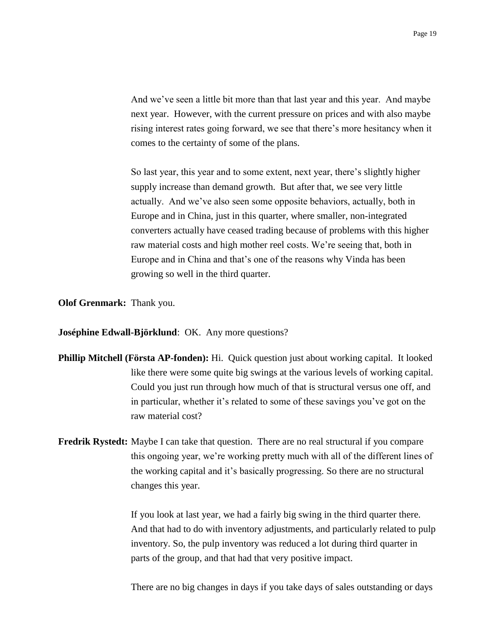And we've seen a little bit more than that last year and this year. And maybe next year. However, with the current pressure on prices and with also maybe rising interest rates going forward, we see that there's more hesitancy when it comes to the certainty of some of the plans.

So last year, this year and to some extent, next year, there's slightly higher supply increase than demand growth. But after that, we see very little actually. And we've also seen some opposite behaviors, actually, both in Europe and in China, just in this quarter, where smaller, non-integrated converters actually have ceased trading because of problems with this higher raw material costs and high mother reel costs. We're seeing that, both in Europe and in China and that's one of the reasons why Vinda has been growing so well in the third quarter.

**Olof Grenmark:** Thank you.

**Joséphine Edwall-Björklund**: OK. Any more questions?

- **Phillip Mitchell (Första AP-fonden):** Hi. Quick question just about working capital. It looked like there were some quite big swings at the various levels of working capital. Could you just run through how much of that is structural versus one off, and in particular, whether it's related to some of these savings you've got on the raw material cost?
- **Fredrik Rystedt:** Maybe I can take that question. There are no real structural if you compare this ongoing year, we're working pretty much with all of the different lines of the working capital and it's basically progressing. So there are no structural changes this year.

If you look at last year, we had a fairly big swing in the third quarter there. And that had to do with inventory adjustments, and particularly related to pulp inventory. So, the pulp inventory was reduced a lot during third quarter in parts of the group, and that had that very positive impact.

There are no big changes in days if you take days of sales outstanding or days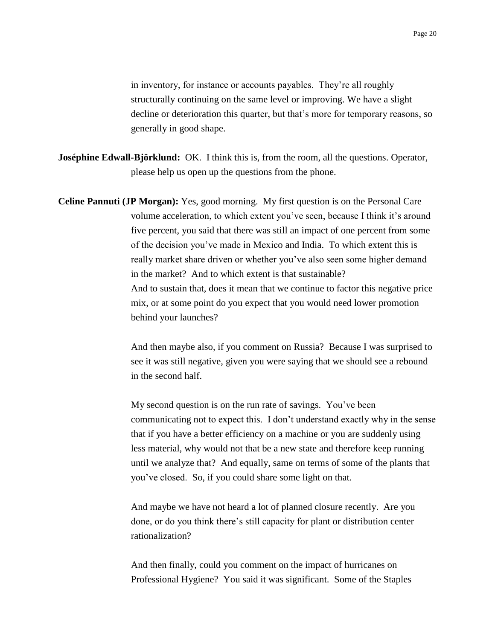in inventory, for instance or accounts payables. They're all roughly structurally continuing on the same level or improving. We have a slight decline or deterioration this quarter, but that's more for temporary reasons, so generally in good shape.

- **Joséphine Edwall-Björklund:** OK. I think this is, from the room, all the questions. Operator, please help us open up the questions from the phone.
- **Celine Pannuti (JP Morgan):** Yes, good morning. My first question is on the Personal Care volume acceleration, to which extent you've seen, because I think it's around five percent, you said that there was still an impact of one percent from some of the decision you've made in Mexico and India. To which extent this is really market share driven or whether you've also seen some higher demand in the market? And to which extent is that sustainable? And to sustain that, does it mean that we continue to factor this negative price mix, or at some point do you expect that you would need lower promotion behind your launches?

And then maybe also, if you comment on Russia? Because I was surprised to see it was still negative, given you were saying that we should see a rebound in the second half.

My second question is on the run rate of savings. You've been communicating not to expect this. I don't understand exactly why in the sense that if you have a better efficiency on a machine or you are suddenly using less material, why would not that be a new state and therefore keep running until we analyze that? And equally, same on terms of some of the plants that you've closed. So, if you could share some light on that.

And maybe we have not heard a lot of planned closure recently. Are you done, or do you think there's still capacity for plant or distribution center rationalization?

And then finally, could you comment on the impact of hurricanes on Professional Hygiene? You said it was significant. Some of the Staples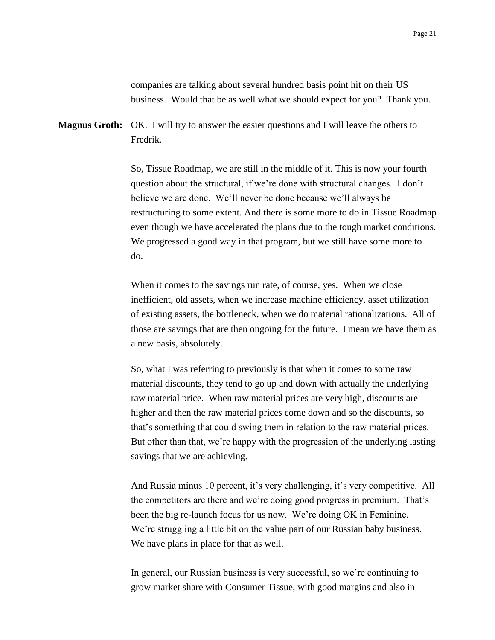companies are talking about several hundred basis point hit on their US business. Would that be as well what we should expect for you? Thank you.

**Magnus Groth:** OK. I will try to answer the easier questions and I will leave the others to Fredrik.

> So, Tissue Roadmap, we are still in the middle of it. This is now your fourth question about the structural, if we're done with structural changes. I don't believe we are done. We'll never be done because we'll always be restructuring to some extent. And there is some more to do in Tissue Roadmap even though we have accelerated the plans due to the tough market conditions. We progressed a good way in that program, but we still have some more to do.

> When it comes to the savings run rate, of course, yes. When we close inefficient, old assets, when we increase machine efficiency, asset utilization of existing assets, the bottleneck, when we do material rationalizations. All of those are savings that are then ongoing for the future. I mean we have them as a new basis, absolutely.

> So, what I was referring to previously is that when it comes to some raw material discounts, they tend to go up and down with actually the underlying raw material price. When raw material prices are very high, discounts are higher and then the raw material prices come down and so the discounts, so that's something that could swing them in relation to the raw material prices. But other than that, we're happy with the progression of the underlying lasting savings that we are achieving.

> And Russia minus 10 percent, it's very challenging, it's very competitive. All the competitors are there and we're doing good progress in premium. That's been the big re-launch focus for us now. We're doing OK in Feminine. We're struggling a little bit on the value part of our Russian baby business. We have plans in place for that as well.

In general, our Russian business is very successful, so we're continuing to grow market share with Consumer Tissue, with good margins and also in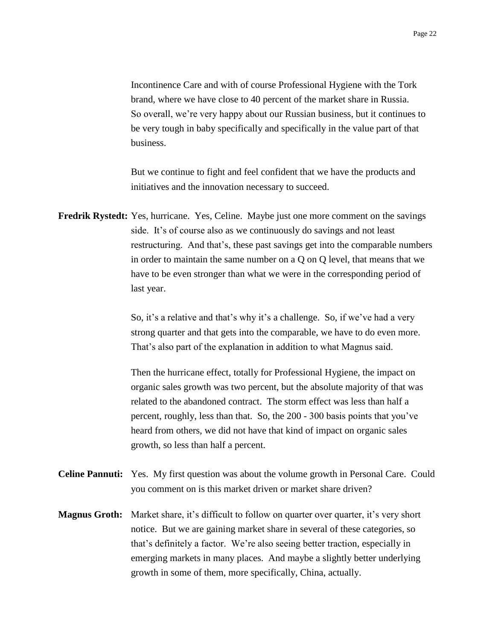Incontinence Care and with of course Professional Hygiene with the Tork brand, where we have close to 40 percent of the market share in Russia. So overall, we're very happy about our Russian business, but it continues to be very tough in baby specifically and specifically in the value part of that business.

But we continue to fight and feel confident that we have the products and initiatives and the innovation necessary to succeed.

**Fredrik Rystedt:** Yes, hurricane. Yes, Celine. Maybe just one more comment on the savings side. It's of course also as we continuously do savings and not least restructuring. And that's, these past savings get into the comparable numbers in order to maintain the same number on a Q on Q level, that means that we have to be even stronger than what we were in the corresponding period of last year.

> So, it's a relative and that's why it's a challenge. So, if we've had a very strong quarter and that gets into the comparable, we have to do even more. That's also part of the explanation in addition to what Magnus said.

> Then the hurricane effect, totally for Professional Hygiene, the impact on organic sales growth was two percent, but the absolute majority of that was related to the abandoned contract. The storm effect was less than half a percent, roughly, less than that. So, the 200 - 300 basis points that you've heard from others, we did not have that kind of impact on organic sales growth, so less than half a percent.

- **Celine Pannuti:** Yes. My first question was about the volume growth in Personal Care. Could you comment on is this market driven or market share driven?
- **Magnus Groth:** Market share, it's difficult to follow on quarter over quarter, it's very short notice. But we are gaining market share in several of these categories, so that's definitely a factor. We're also seeing better traction, especially in emerging markets in many places. And maybe a slightly better underlying growth in some of them, more specifically, China, actually.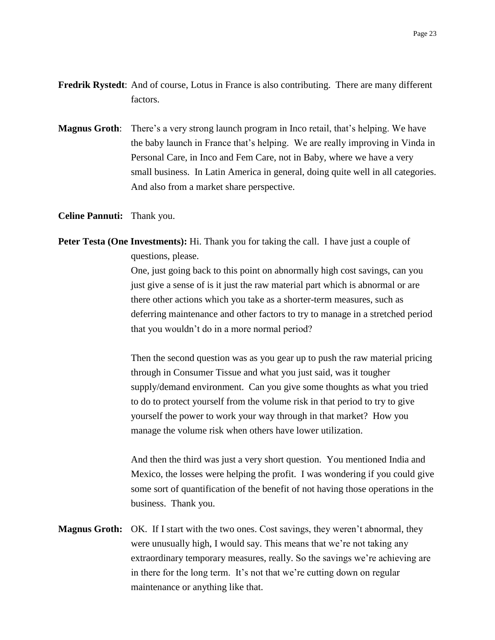- **Fredrik Rystedt:** And of course, Lotus in France is also contributing. There are many different factors.
- **Magnus Groth**: There's a very strong launch program in Inco retail, that's helping. We have the baby launch in France that's helping. We are really improving in Vinda in Personal Care, in Inco and Fem Care, not in Baby, where we have a very small business. In Latin America in general, doing quite well in all categories. And also from a market share perspective.

**Celine Pannuti:** Thank you.

**Peter Testa (One Investments):** Hi. Thank you for taking the call. I have just a couple of questions, please.

> One, just going back to this point on abnormally high cost savings, can you just give a sense of is it just the raw material part which is abnormal or are there other actions which you take as a shorter-term measures, such as deferring maintenance and other factors to try to manage in a stretched period that you wouldn't do in a more normal period?

> Then the second question was as you gear up to push the raw material pricing through in Consumer Tissue and what you just said, was it tougher supply/demand environment. Can you give some thoughts as what you tried to do to protect yourself from the volume risk in that period to try to give yourself the power to work your way through in that market? How you manage the volume risk when others have lower utilization.

> And then the third was just a very short question. You mentioned India and Mexico, the losses were helping the profit. I was wondering if you could give some sort of quantification of the benefit of not having those operations in the business. Thank you.

**Magnus Groth:** OK. If I start with the two ones. Cost savings, they weren't abnormal, they were unusually high, I would say. This means that we're not taking any extraordinary temporary measures, really. So the savings we're achieving are in there for the long term. It's not that we're cutting down on regular maintenance or anything like that.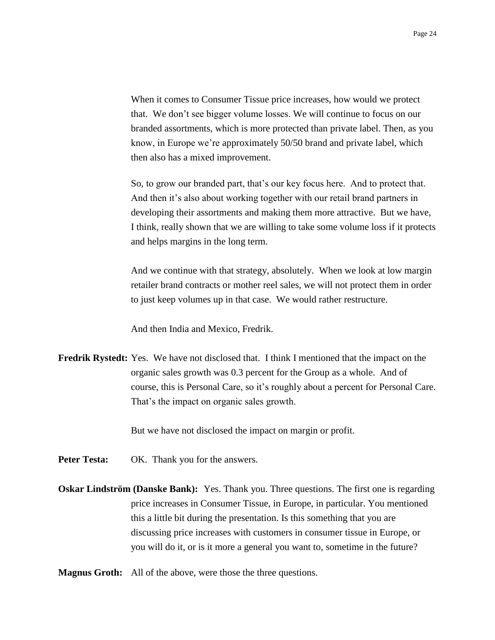When it comes to Consumer Tissue price increases, how would we protect that. We don't see bigger volume losses. We will continue to focus on our branded assortments, which is more protected than private label. Then, as you know, in Europe we're approximately 50/50 brand and private label, which then also has a mixed improvement.

So, to grow our branded part, that's our key focus here. And to protect that. And then it's also about working together with our retail brand partners in developing their assortments and making them more attractive. But we have, I think, really shown that we are willing to take some volume loss if it protects and helps margins in the long term.

And we continue with that strategy, absolutely. When we look at low margin retailer brand contracts or mother reel sales, we will not protect them in order to just keep volumes up in that case. We would rather restructure.

And then India and Mexico, Fredrik.

**Fredrik Rystedt:** Yes. We have not disclosed that. I think I mentioned that the impact on the organic sales growth was 0.3 percent for the Group as a whole. And of course, this is Personal Care, so it's roughly about a percent for Personal Care. That's the impact on organic sales growth.

But we have not disclosed the impact on margin or profit.

- Peter Testa: OK. Thank you for the answers.
- **Oskar Lindström (Danske Bank):** Yes. Thank you. Three questions. The first one is regarding price increases in Consumer Tissue, in Europe, in particular. You mentioned this a little bit during the presentation. Is this something that you are discussing price increases with customers in consumer tissue in Europe, or you will do it, or is it more a general you want to, sometime in the future?
- **Magnus Groth:** All of the above, were those the three questions.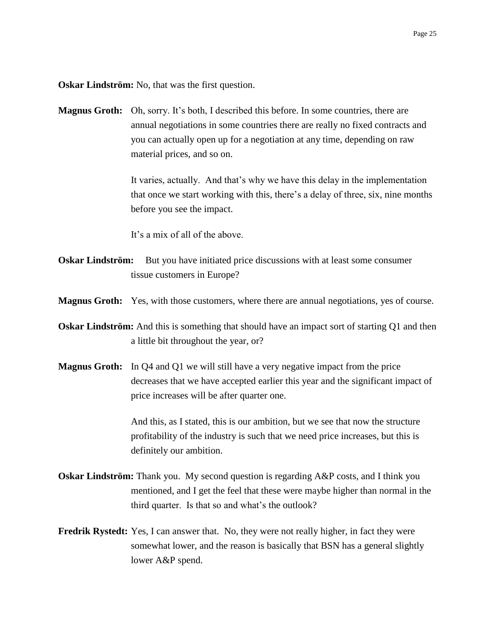**Oskar Lindström:** No, that was the first question.

**Magnus Groth:** Oh, sorry. It's both, I described this before. In some countries, there are annual negotiations in some countries there are really no fixed contracts and you can actually open up for a negotiation at any time, depending on raw material prices, and so on.

> It varies, actually. And that's why we have this delay in the implementation that once we start working with this, there's a delay of three, six, nine months before you see the impact.

It's a mix of all of the above.

- **Oskar Lindström:** But you have initiated price discussions with at least some consumer tissue customers in Europe?
- **Magnus Groth:** Yes, with those customers, where there are annual negotiations, yes of course.
- **Oskar Lindström:** And this is something that should have an impact sort of starting Q1 and then a little bit throughout the year, or?
- **Magnus Groth:** In Q4 and Q1 we will still have a very negative impact from the price decreases that we have accepted earlier this year and the significant impact of price increases will be after quarter one.

And this, as I stated, this is our ambition, but we see that now the structure profitability of the industry is such that we need price increases, but this is definitely our ambition.

- **Oskar Lindström:** Thank you. My second question is regarding A&P costs, and I think you mentioned, and I get the feel that these were maybe higher than normal in the third quarter. Is that so and what's the outlook?
- **Fredrik Rystedt:** Yes, I can answer that. No, they were not really higher, in fact they were somewhat lower, and the reason is basically that BSN has a general slightly lower A&P spend.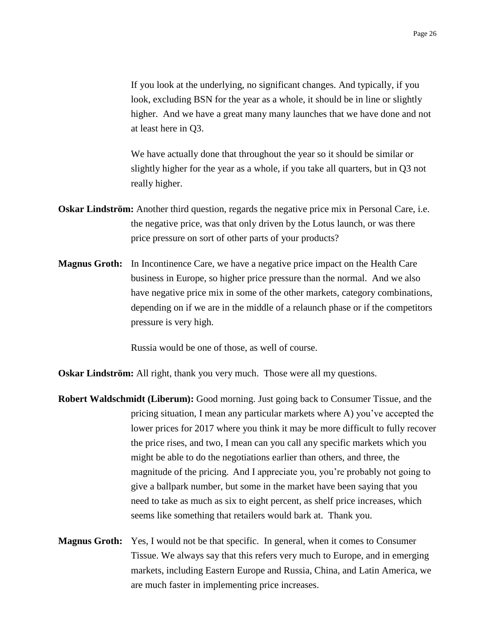If you look at the underlying, no significant changes. And typically, if you look, excluding BSN for the year as a whole, it should be in line or slightly higher. And we have a great many many launches that we have done and not at least here in Q3.

We have actually done that throughout the year so it should be similar or slightly higher for the year as a whole, if you take all quarters, but in Q3 not really higher.

- **Oskar Lindström:** Another third question, regards the negative price mix in Personal Care, i.e. the negative price, was that only driven by the Lotus launch, or was there price pressure on sort of other parts of your products?
- **Magnus Groth:** In Incontinence Care, we have a negative price impact on the Health Care business in Europe, so higher price pressure than the normal. And we also have negative price mix in some of the other markets, category combinations, depending on if we are in the middle of a relaunch phase or if the competitors pressure is very high.

Russia would be one of those, as well of course.

**Oskar Lindström:** All right, thank you very much. Those were all my questions.

- **Robert Waldschmidt (Liberum):** Good morning. Just going back to Consumer Tissue, and the pricing situation, I mean any particular markets where A) you've accepted the lower prices for 2017 where you think it may be more difficult to fully recover the price rises, and two, I mean can you call any specific markets which you might be able to do the negotiations earlier than others, and three, the magnitude of the pricing. And I appreciate you, you're probably not going to give a ballpark number, but some in the market have been saying that you need to take as much as six to eight percent, as shelf price increases, which seems like something that retailers would bark at. Thank you.
- **Magnus Groth:** Yes, I would not be that specific. In general, when it comes to Consumer Tissue. We always say that this refers very much to Europe, and in emerging markets, including Eastern Europe and Russia, China, and Latin America, we are much faster in implementing price increases.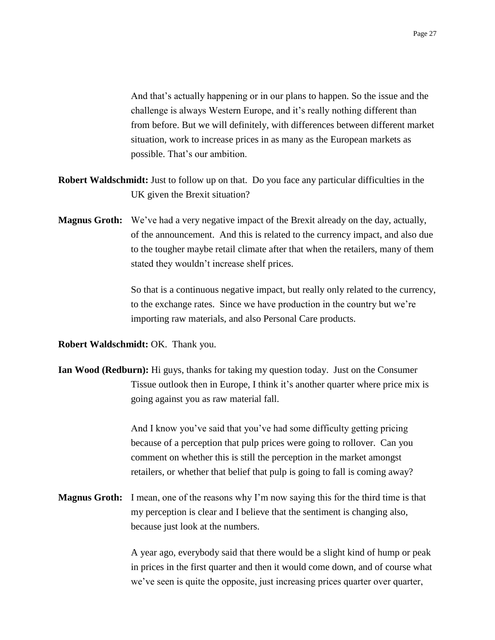And that's actually happening or in our plans to happen. So the issue and the challenge is always Western Europe, and it's really nothing different than from before. But we will definitely, with differences between different market situation, work to increase prices in as many as the European markets as possible. That's our ambition.

- **Robert Waldschmidt:** Just to follow up on that. Do you face any particular difficulties in the UK given the Brexit situation?
- **Magnus Groth:** We've had a very negative impact of the Brexit already on the day, actually, of the announcement. And this is related to the currency impact, and also due to the tougher maybe retail climate after that when the retailers, many of them stated they wouldn't increase shelf prices.

So that is a continuous negative impact, but really only related to the currency, to the exchange rates. Since we have production in the country but we're importing raw materials, and also Personal Care products.

**Robert Waldschmidt: OK. Thank you.** 

**Ian Wood (Redburn):** Hi guys, thanks for taking my question today. Just on the Consumer Tissue outlook then in Europe, I think it's another quarter where price mix is going against you as raw material fall.

> And I know you've said that you've had some difficulty getting pricing because of a perception that pulp prices were going to rollover. Can you comment on whether this is still the perception in the market amongst retailers, or whether that belief that pulp is going to fall is coming away?

**Magnus Groth:** I mean, one of the reasons why I'm now saying this for the third time is that my perception is clear and I believe that the sentiment is changing also, because just look at the numbers.

> A year ago, everybody said that there would be a slight kind of hump or peak in prices in the first quarter and then it would come down, and of course what we've seen is quite the opposite, just increasing prices quarter over quarter,